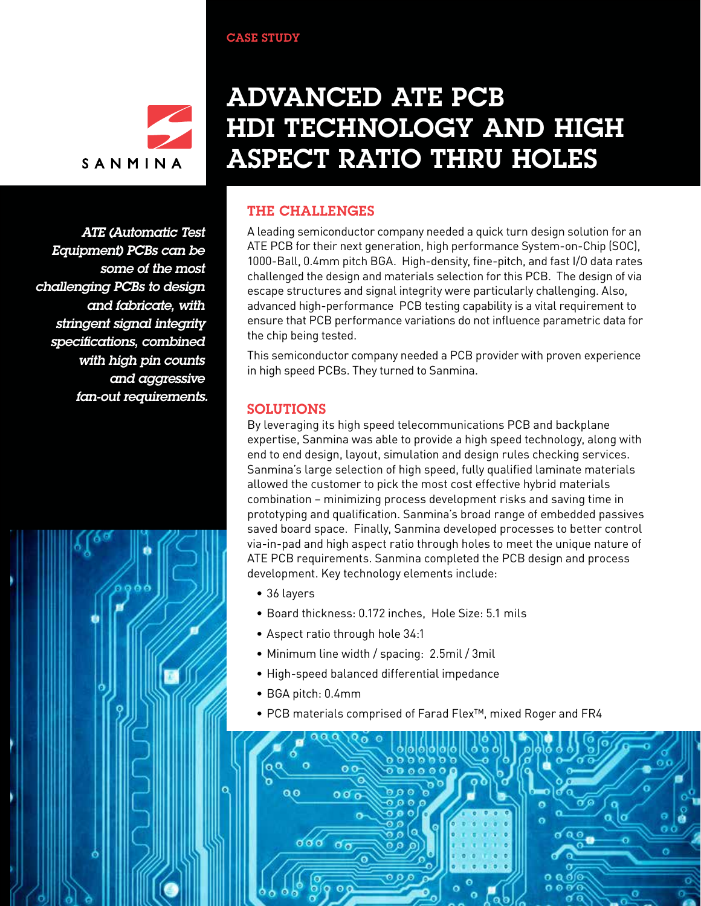CASE STUDY



## *ATE (Automatic Test Equipment) PCBs can be some of the most challenging PCBs to design and fabricate, with stringent signal integrity specifications, combined with high pin counts and aggressive fan-out requirements.*



# ADVANCED ATE PCB HDI TECHNOLOGY AND HIGH ASPECT RATIO THRU HOLES

### The CHALLENGES

A leading semiconductor company needed a quick turn design solution for an ATE PCB for their next generation, high performance System-on-Chip (SOC), 1000-Ball, 0.4mm pitch BGA. High-density, fine-pitch, and fast I/O data rates challenged the design and materials selection for this PCB. The design of via escape structures and signal integrity were particularly challenging. Also, advanced high-performance PCB testing capability is a vital requirement to ensure that PCB performance variations do not influence parametric data for the chip being tested.

This semiconductor company needed a PCB provider with proven experience in high speed PCBs. They turned to Sanmina.

#### SOLUTIONS

By leveraging its high speed telecommunications PCB and backplane expertise, Sanmina was able to provide a high speed technology, along with end to end design, layout, simulation and design rules checking services. Sanmina's large selection of high speed, fully qualified laminate materials allowed the customer to pick the most cost effective hybrid materials combination – minimizing process development risks and saving time in prototyping and qualification. Sanmina's broad range of embedded passives saved board space. Finally, Sanmina developed processes to better control via-in-pad and high aspect ratio through holes to meet the unique nature of ATE PCB requirements. Sanmina completed the PCB design and process development. Key technology elements include:

- 36 layers
- Board thickness: 0.172 inches, Hole Size: 5.1 mils
- Aspect ratio through hole 34:1
- Minimum line width / spacing: 2.5mil / 3mil
- High-speed balanced differential impedance
- BGA pitch: 0.4mm
- PCB materials comprised of Farad Flex™, mixed Roger and FR4